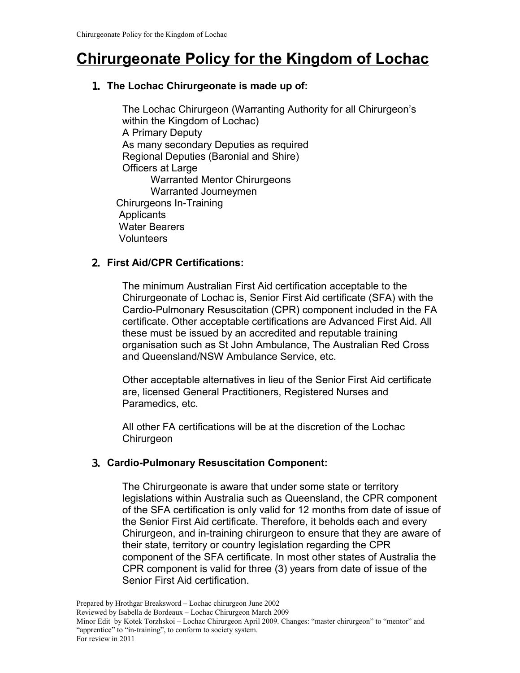# **Chirurgeonate Policy for the Kingdom of Lochac**

# 1. **The Lochac Chirurgeonate is made up of:**

The Lochac Chirurgeon (Warranting Authority for all Chirurgeon's within the Kingdom of Lochac) A Primary Deputy As many secondary Deputies as required Regional Deputies (Baronial and Shire) Officers at Large Warranted Mentor Chirurgeons Warranted Journeymen Chirurgeons In-Training **Applicants**  Water Bearers **Volunteers** 

# 2. **First Aid/CPR Certifications:**

The minimum Australian First Aid certification acceptable to the Chirurgeonate of Lochac is, Senior First Aid certificate (SFA) with the Cardio-Pulmonary Resuscitation (CPR) component included in the FA certificate. Other acceptable certifications are Advanced First Aid. All these must be issued by an accredited and reputable training organisation such as St John Ambulance, The Australian Red Cross and Queensland/NSW Ambulance Service, etc.

Other acceptable alternatives in lieu of the Senior First Aid certificate are, licensed General Practitioners, Registered Nurses and Paramedics, etc.

All other FA certifications will be at the discretion of the Lochac **Chirurgeon** 

# 3. **Cardio-Pulmonary Resuscitation Component:**

The Chirurgeonate is aware that under some state or territory legislations within Australia such as Queensland, the CPR component of the SFA certification is only valid for 12 months from date of issue of the Senior First Aid certificate. Therefore, it beholds each and every Chirurgeon, and in-training chirurgeon to ensure that they are aware of their state, territory or country legislation regarding the CPR component of the SFA certificate. In most other states of Australia the CPR component is valid for three (3) years from date of issue of the Senior First Aid certification.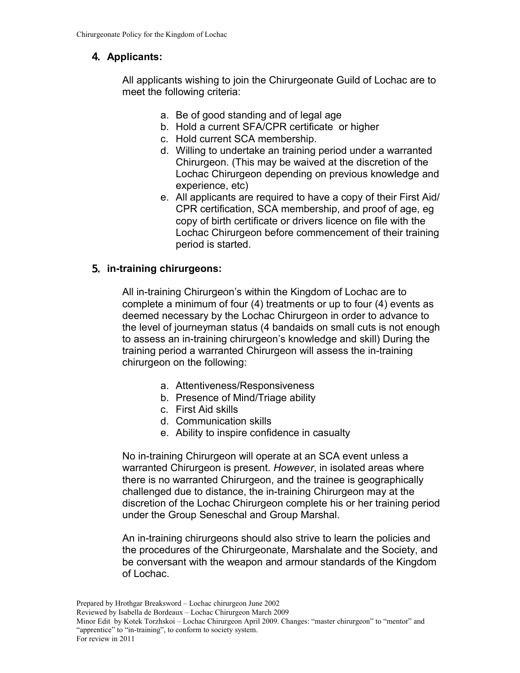# 4. **Applicants:**

All applicants wishing to join the Chirurgeonate Guild of Lochac are to meet the following criteria:

- a. Be of good standing and of legal age
- b. Hold a current SFA/CPR certificate or higher
- c. Hold current SCA membership.
- d. Willing to undertake an training period under a warranted Chirurgeon. (This may be waived at the discretion of the Lochac Chirurgeon depending on previous knowledge and experience, etc)
- e. All applicants are required to have a copy of their First Aid/ CPR certification, SCA membership, and proof of age, eg copy of birth certificate or drivers licence on file with the Lochac Chirurgeon before commencement of their training period is started.

#### 5. **in-training chirurgeons:**

All in-training Chirurgeon's within the Kingdom of Lochac are to complete a minimum of four (4) treatments or up to four (4) events as deemed necessary by the Lochac Chirurgeon in order to advance to the level of journeyman status (4 bandaids on small cuts is not enough to assess an in-training chirurgeon's knowledge and skill) During the training period a warranted Chirurgeon will assess the in-training chirurgeon on the following:

- a. Attentiveness/Responsiveness
- b. Presence of Mind/Triage ability
- c. First Aid skills
- d. Communication skills
- e. Ability to inspire confidence in casualty

No in-training Chirurgeon will operate at an SCA event unless a warranted Chirurgeon is present. *However*, in isolated areas where there is no warranted Chirurgeon, and the trainee is geographically challenged due to distance, the in-training Chirurgeon may at the discretion of the Lochac Chirurgeon complete his or her training period under the Group Seneschal and Group Marshal.

An in-training chirurgeons should also strive to learn the policies and the procedures of the Chirurgeonate, Marshalate and the Society, and be conversant with the weapon and armour standards of the Kingdom of Lochac.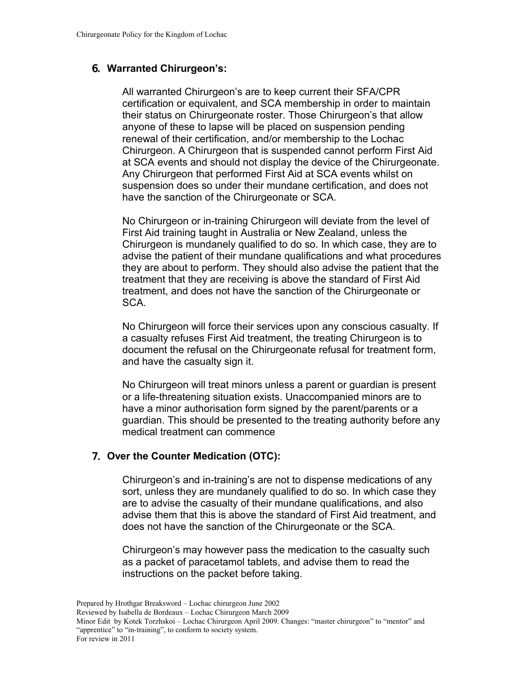#### 6. **Warranted Chirurgeon's:**

All warranted Chirurgeon's are to keep current their SFA/CPR certification or equivalent, and SCA membership in order to maintain their status on Chirurgeonate roster. Those Chirurgeon's that allow anyone of these to lapse will be placed on suspension pending renewal of their certification, and/or membership to the Lochac Chirurgeon. A Chirurgeon that is suspended cannot perform First Aid at SCA events and should not display the device of the Chirurgeonate. Any Chirurgeon that performed First Aid at SCA events whilst on suspension does so under their mundane certification, and does not have the sanction of the Chirurgeonate or SCA.

No Chirurgeon or in-training Chirurgeon will deviate from the level of First Aid training taught in Australia or New Zealand, unless the Chirurgeon is mundanely qualified to do so. In which case, they are to advise the patient of their mundane qualifications and what procedures they are about to perform. They should also advise the patient that the treatment that they are receiving is above the standard of First Aid treatment, and does not have the sanction of the Chirurgeonate or SCA.

No Chirurgeon will force their services upon any conscious casualty. If a casualty refuses First Aid treatment, the treating Chirurgeon is to document the refusal on the Chirurgeonate refusal for treatment form, and have the casualty sign it.

No Chirurgeon will treat minors unless a parent or guardian is present or a life-threatening situation exists. Unaccompanied minors are to have a minor authorisation form signed by the parent/parents or a guardian. This should be presented to the treating authority before any medical treatment can commence

#### 7. **Over the Counter Medication (OTC):**

Chirurgeon's and in-training's are not to dispense medications of any sort, unless they are mundanely qualified to do so. In which case they are to advise the casualty of their mundane qualifications, and also advise them that this is above the standard of First Aid treatment, and does not have the sanction of the Chirurgeonate or the SCA.

Chirurgeon's may however pass the medication to the casualty such as a packet of paracetamol tablets, and advise them to read the instructions on the packet before taking.

Prepared by Hrothgar Breaksword – Lochac chirurgeon June 2002 Reviewed by Isabella de Bordeaux – Lochac Chirurgeon March 2009 Minor Edit by Kotek Torzhskoi – Lochac Chirurgeon April 2009. Changes: "master chirurgeon" to "mentor" and "apprentice" to "in-training", to conform to society system. For review in 2011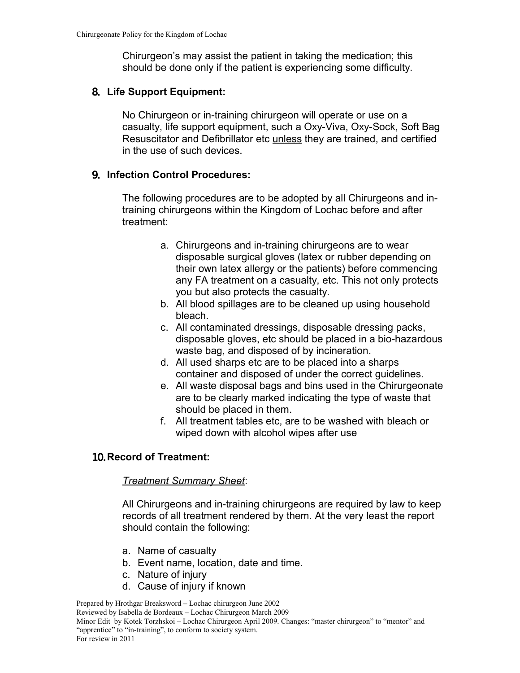Chirurgeon's may assist the patient in taking the medication; this should be done only if the patient is experiencing some difficulty.

#### 8. **Life Support Equipment:**

No Chirurgeon or in-training chirurgeon will operate or use on a casualty, life support equipment, such a Oxy-Viva, Oxy-Sock, Soft Bag Resuscitator and Defibrillator etc unless they are trained, and certified in the use of such devices.

#### 9. **Infection Control Procedures:**

The following procedures are to be adopted by all Chirurgeons and intraining chirurgeons within the Kingdom of Lochac before and after treatment:

- a. Chirurgeons and in-training chirurgeons are to wear disposable surgical gloves (latex or rubber depending on their own latex allergy or the patients) before commencing any FA treatment on a casualty, etc. This not only protects you but also protects the casualty.
- b. All blood spillages are to be cleaned up using household bleach.
- c. All contaminated dressings, disposable dressing packs, disposable gloves, etc should be placed in a bio-hazardous waste bag, and disposed of by incineration.
- d. All used sharps etc are to be placed into a sharps container and disposed of under the correct guidelines.
- e. All waste disposal bags and bins used in the Chirurgeonate are to be clearly marked indicating the type of waste that should be placed in them.
- f. All treatment tables etc, are to be washed with bleach or wiped down with alcohol wipes after use

# 10. **Record of Treatment:**

#### *Treatment Summary Sheet*:

All Chirurgeons and in-training chirurgeons are required by law to keep records of all treatment rendered by them. At the very least the report should contain the following:

- a. Name of casualty
- b. Event name, location, date and time.
- c. Nature of injury
- d. Cause of injury if known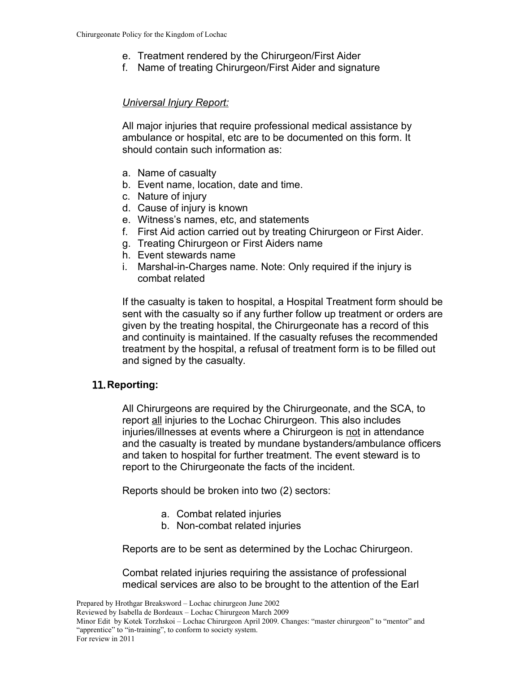- e. Treatment rendered by the Chirurgeon/First Aider
- f. Name of treating Chirurgeon/First Aider and signature

# *Universal Injury Report:*

All major injuries that require professional medical assistance by ambulance or hospital, etc are to be documented on this form. It should contain such information as:

- a. Name of casualty
- b. Event name, location, date and time.
- c. Nature of injury
- d. Cause of injury is known
- e. Witness's names, etc, and statements
- f. First Aid action carried out by treating Chirurgeon or First Aider.
- g. Treating Chirurgeon or First Aiders name
- h. Event stewards name
- i. Marshal-in-Charges name. Note: Only required if the injury is combat related

If the casualty is taken to hospital, a Hospital Treatment form should be sent with the casualty so if any further follow up treatment or orders are given by the treating hospital, the Chirurgeonate has a record of this and continuity is maintained. If the casualty refuses the recommended treatment by the hospital, a refusal of treatment form is to be filled out and signed by the casualty.

# 11. **Reporting:**

All Chirurgeons are required by the Chirurgeonate, and the SCA, to report all injuries to the Lochac Chirurgeon. This also includes injuries/illnesses at events where a Chirurgeon is not in attendance and the casualty is treated by mundane bystanders/ambulance officers and taken to hospital for further treatment. The event steward is to report to the Chirurgeonate the facts of the incident.

Reports should be broken into two (2) sectors:

- a. Combat related injuries
- b. Non-combat related injuries

Reports are to be sent as determined by the Lochac Chirurgeon.

Combat related injuries requiring the assistance of professional medical services are also to be brought to the attention of the Earl